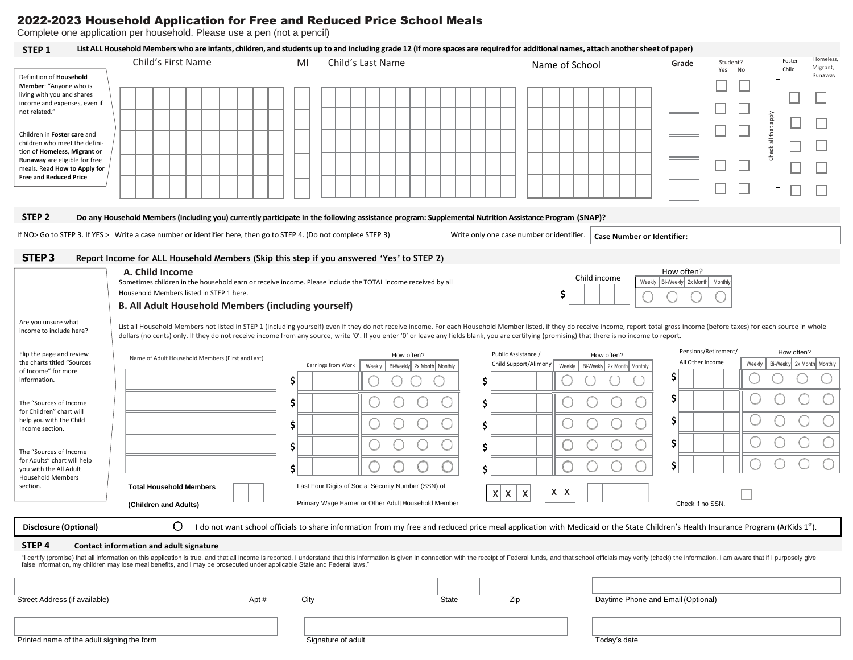## 2022-2023 Household Application for Free and Reduced Price School Meals

Complete one application per household. Please use a pen (not a pencil)

## STFP 1 List ALL Household Members who are infants, children, and students up to and including grade 12 (if more spaces are required for additional names, attach another sheet of paper)

|                                                                                                                                                                                                                                                                                                                                                         | Child's First Name                                                                                                                                                                                                                                                                                                                   | MI            | Child's Last Name                                                                                                                                                                                                                                                                                                                                                                                                                  | Name of School                                                                                                                                   | Student?<br>Grade<br>No<br>Yes                                              | Homeless<br>Foster<br>Migrant,<br>Child            |
|---------------------------------------------------------------------------------------------------------------------------------------------------------------------------------------------------------------------------------------------------------------------------------------------------------------------------------------------------------|--------------------------------------------------------------------------------------------------------------------------------------------------------------------------------------------------------------------------------------------------------------------------------------------------------------------------------------|---------------|------------------------------------------------------------------------------------------------------------------------------------------------------------------------------------------------------------------------------------------------------------------------------------------------------------------------------------------------------------------------------------------------------------------------------------|--------------------------------------------------------------------------------------------------------------------------------------------------|-----------------------------------------------------------------------------|----------------------------------------------------|
| Definition of Household<br>Member: "Anyone who is<br>living with you and shares<br>income and expenses, even if<br>not related."<br>Children in Foster care and<br>children who meet the defini-<br>tion of Homeless, Migrant or<br>Runaway are eligible for free<br>meals. Read How to Apply for<br><b>Free and Reduced Price</b><br>STEP <sub>2</sub> |                                                                                                                                                                                                                                                                                                                                      |               | Do any Household Members (including you) currently participate in the following assistance program: Supplemental Nutrition Assistance Program (SNAP)?                                                                                                                                                                                                                                                                              |                                                                                                                                                  |                                                                             | Runaway<br>all that apply<br>Check                 |
|                                                                                                                                                                                                                                                                                                                                                         | If NO> Go to STEP 3. If YES > Write a case number or identifier here, then go to STEP 4. (Do not complete STEP 3)                                                                                                                                                                                                                    |               | Write only one case number or identifier.                                                                                                                                                                                                                                                                                                                                                                                          | <b>Case Number or Identifier:</b>                                                                                                                |                                                                             |                                                    |
| STEP <sub>3</sub><br>Are you unsure what                                                                                                                                                                                                                                                                                                                | Report Income for ALL Household Members (Skip this step if you answered 'Yes' to STEP 2)<br>A. Child Income<br>Sometimes children in the household earn or receive income. Please include the TOTAL income received by all<br>Household Members listed in STEP 1 here.<br><b>B. All Adult Household Members (including yourself)</b> |               |                                                                                                                                                                                                                                                                                                                                                                                                                                    | Child income<br>Weekly<br>\$                                                                                                                     | How often?<br>Bi-Weekly 2x Month<br>Monthly                                 |                                                    |
| income to include here?                                                                                                                                                                                                                                                                                                                                 |                                                                                                                                                                                                                                                                                                                                      |               | List all Household Members not listed in STEP 1 (including yourself) even if they do not receive income. For each Household Member listed, if they do receive income, report total gross income (before taxes) for each source<br>dollars (no cents) only. If they do not receive income from any source, write '0'. If you enter '0' or leave any fields blank, you are certifying (promising) that there is no income to report. |                                                                                                                                                  |                                                                             |                                                    |
| Flip the page and review<br>the charts titled "Sources<br>of Income" for more<br>information.<br>The "Sources of Income<br>for Children" chart will<br>help you with the Child<br>Income section.<br>The "Sources of Income<br>for Adults" chart will help<br>you with the All Adult<br><b>Household Members</b><br>section.                            | Name of Adult Household Members (First and Last)<br><b>Total Household Members</b><br>(Children and Adults)                                                                                                                                                                                                                          | \$.<br>Ś<br>Ś | Public Assistance /<br>How often?<br>Earnings from Work<br>Weekly<br>Bi-Weekly 2x Month   Monthly<br>\$<br>\$<br>\$<br>\$<br>Ś<br>Last Four Digits of Social Security Number (SSN) of<br>x<br>X<br>Primary Wage Earner or Other Adult Household Member                                                                                                                                                                             | How often?<br>Child Support/Alimony<br>Bi-Weekly 2x Month Monthly<br>Weekly<br>x <sub>1</sub><br>$\boldsymbol{\mathsf{X}}$<br>$\pmb{\mathsf{X}}$ | Pensions/Retirement/<br>All Other Income<br>S<br>S<br>Ś<br>Check if no SSN. | How often?<br>Weekly<br>Bi-Weekly 2x Month Monthly |
| Disclosure (Optional)                                                                                                                                                                                                                                                                                                                                   | O                                                                                                                                                                                                                                                                                                                                    |               | I do not want school officials to share information from my free and reduced price meal application with Medicaid or the State Children's Health Insurance Program (ArKids 1st).                                                                                                                                                                                                                                                   |                                                                                                                                                  |                                                                             |                                                    |
| STEP <sub>4</sub><br>Street Address (if available)                                                                                                                                                                                                                                                                                                      | Contact information and adult signature<br>false information, my children may lose meal benefits, and I may be prosecuted under applicable State and Federal laws."<br>Apt#                                                                                                                                                          | City          | "I certify (promise) that all information on this application is true, and that all income is reported. I understand that this information is given in connection with the receipt of Federal funds, and that school officials<br>State<br>Zip                                                                                                                                                                                     | Daytime Phone and Email (Optional)                                                                                                               |                                                                             |                                                    |
| Printed name of the adult signing the form                                                                                                                                                                                                                                                                                                              |                                                                                                                                                                                                                                                                                                                                      |               | Signature of adult                                                                                                                                                                                                                                                                                                                                                                                                                 | Today's date                                                                                                                                     |                                                                             |                                                    |